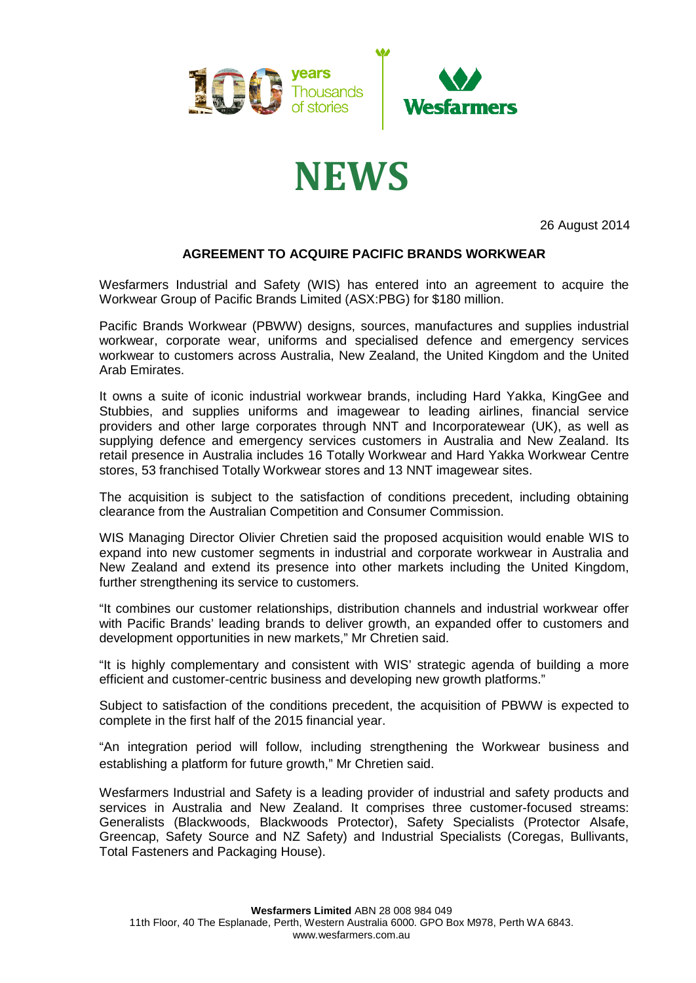

## **NEWS**

26 August 2014

## **AGREEMENT TO ACQUIRE PACIFIC BRANDS WORKWEAR**

Wesfarmers Industrial and Safety (WIS) has entered into an agreement to acquire the Workwear Group of Pacific Brands Limited (ASX:PBG) for \$180 million.

Pacific Brands Workwear (PBWW) designs, sources, manufactures and supplies industrial workwear, corporate wear, uniforms and specialised defence and emergency services workwear to customers across Australia, New Zealand, the United Kingdom and the United Arab Emirates.

It owns a suite of iconic industrial workwear brands, including Hard Yakka, KingGee and Stubbies, and supplies uniforms and imagewear to leading airlines, financial service providers and other large corporates through NNT and Incorporatewear (UK), as well as supplying defence and emergency services customers in Australia and New Zealand. Its retail presence in Australia includes 16 Totally Workwear and Hard Yakka Workwear Centre stores, 53 franchised Totally Workwear stores and 13 NNT imagewear sites.

The acquisition is subject to the satisfaction of conditions precedent, including obtaining clearance from the Australian Competition and Consumer Commission.

WIS Managing Director Olivier Chretien said the proposed acquisition would enable WIS to expand into new customer segments in industrial and corporate workwear in Australia and New Zealand and extend its presence into other markets including the United Kingdom, further strengthening its service to customers.

"It combines our customer relationships, distribution channels and industrial workwear offer with Pacific Brands' leading brands to deliver growth, an expanded offer to customers and development opportunities in new markets," Mr Chretien said.

"It is highly complementary and consistent with WIS' strategic agenda of building a more efficient and customer-centric business and developing new growth platforms."

Subject to satisfaction of the conditions precedent, the acquisition of PBWW is expected to complete in the first half of the 2015 financial year.

"An integration period will follow, including strengthening the Workwear business and establishing a platform for future growth," Mr Chretien said.

Wesfarmers Industrial and Safety is a leading provider of industrial and safety products and services in Australia and New Zealand. It comprises three customer-focused streams: Generalists (Blackwoods, Blackwoods Protector), Safety Specialists (Protector Alsafe, Greencap, Safety Source and NZ Safety) and Industrial Specialists (Coregas, Bullivants, Total Fasteners and Packaging House).